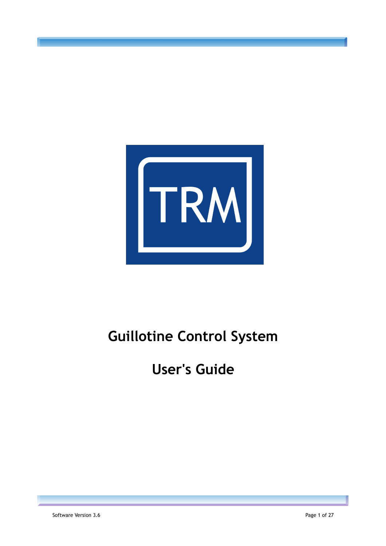

# **Guillotine Control System**

# **User's Guide**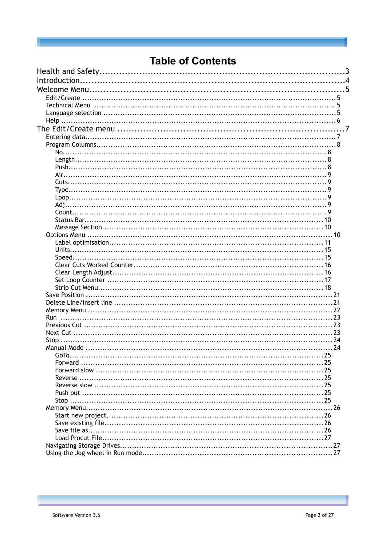## **Table of Contents**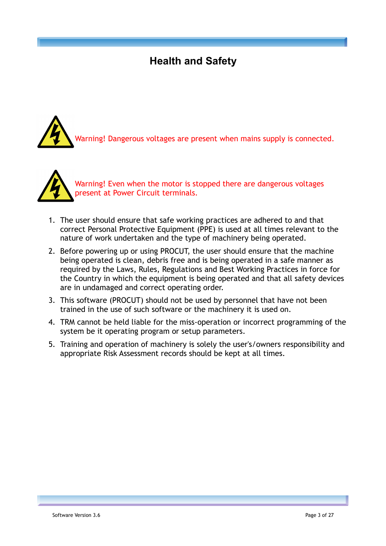## <span id="page-2-0"></span>**Health and Safety**

Warning! Dangerous voltages are present when mains supply is connected.



Warning! Even when the motor is stopped there are dangerous voltages present at Power Circuit terminals.

- 1. The user should ensure that safe working practices are adhered to and that correct Personal Protective Equipment (PPE) is used at all times relevant to the nature of work undertaken and the type of machinery being operated.
- 2. Before powering up or using PROCUT, the user should ensure that the machine being operated is clean, debris free and is being operated in a safe manner as required by the Laws, Rules, Regulations and Best Working Practices in force for the Country in which the equipment is being operated and that all safety devices are in undamaged and correct operating order.
- 3. This software (PROCUT) should not be used by personnel that have not been trained in the use of such software or the machinery it is used on.
- 4. TRM cannot be held liable for the miss-operation or incorrect programming of the system be it operating program or setup parameters.
- 5. Training and operation of machinery is solely the user's/owners responsibility and appropriate Risk Assessment records should be kept at all times.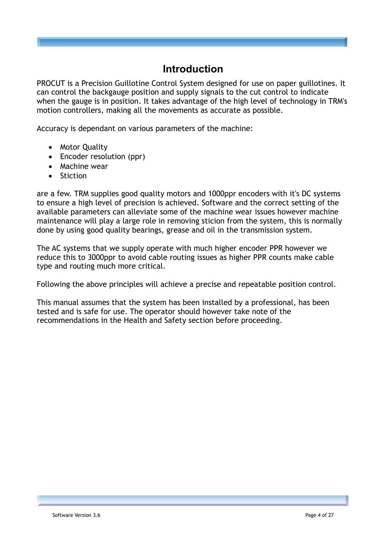## <span id="page-3-0"></span>**Introduction**

PROCUT is a Precision Guillotine Control System designed for use on paper guillotines. It can control the backgauge position and supply signals to the cut control to indicate when the gauge is in position. It takes advantage of the high level of technology in TRM's motion controllers, making all the movements as accurate as possible.

Accuracy is dependant on various parameters of the machine:

- Motor Quality
- Encoder resolution (ppr)
- Machine wear
- **•** Stiction

are a few. TRM supplies good quality motors and 1000ppr encoders with it's DC systems to ensure a high level of precision is achieved. Software and the correct setting of the available parameters can alleviate some of the machine wear issues however machine maintenance will play a large role in removing sticion from the system, this is normally done by using good quality bearings, grease and oil in the transmission system.

The AC systems that we supply operate with much higher encoder PPR however we reduce this to 3000ppr to avoid cable routing issues as higher PPR counts make cable type and routing much more critical.

Following the above principles will achieve a precise and repeatable position control.

This manual assumes that the system has been installed by a professional, has been tested and is safe for use. The operator should however take note of the recommendations in the Health and Safety section before proceeding.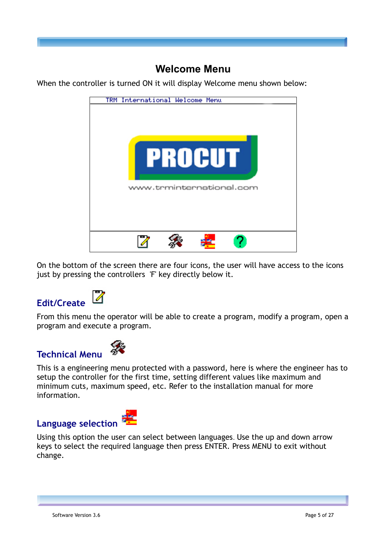## <span id="page-4-3"></span>**Welcome Menu**

TRM International Welcome Menu PROCU www.trminternational.com ΙA

When the controller is turned ON it will display Welcome menu shown below:

On the bottom of the screen there are four icons, the user will have access to the icons just by pressing the controllers 'F' key directly below it.

## <span id="page-4-2"></span>**Edit/Create**



From this menu the operator will be able to create a program, modify a program, open a program and execute a program.

## <span id="page-4-1"></span>**Technical Menu**



This is a engineering menu protected with a password, here is where the engineer has to setup the controller for the first time, setting different values like maximum and minimum cuts, maximum speed, etc. Refer to the installation manual for more information.

## <span id="page-4-0"></span>**Language selection**



Using this option the user can select between languages. Use the up and down arrow keys to select the required language then press ENTER. Press MENU to exit without change.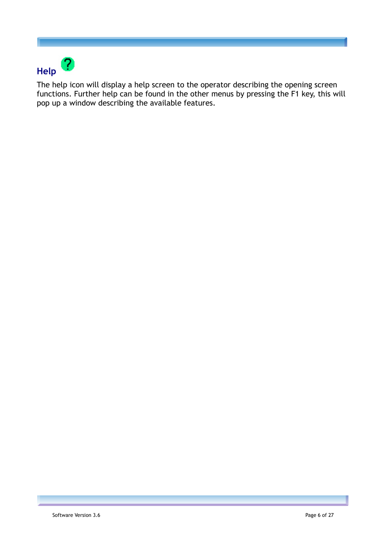<span id="page-5-0"></span>

The help icon will display a help screen to the operator describing the opening screen functions. Further help can be found in the other menus by pressing the F1 key, this will pop up a window describing the available features.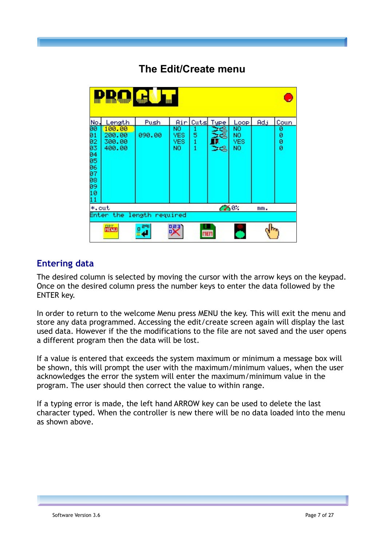## <span id="page-6-1"></span>**The Edit/Create menu**



#### <span id="page-6-0"></span>**Entering data**

The desired column is selected by moving the cursor with the arrow keys on the keypad. Once on the desired column press the number keys to enter the data followed by the ENTER key.

In order to return to the welcome Menu press MENU the key. This will exit the menu and store any data programmed. Accessing the edit/create screen again will display the last used data. However if the the modifications to the file are not saved and the user opens a different program then the data will be lost.

If a value is entered that exceeds the system maximum or minimum a message box will be shown, this will prompt the user with the maximum/minimum values, when the user acknowledges the error the system will enter the maximum/minimum value in the program. The user should then correct the value to within range.

If a typing error is made, the left hand ARROW key can be used to delete the last character typed. When the controller is new there will be no data loaded into the menu as shown above.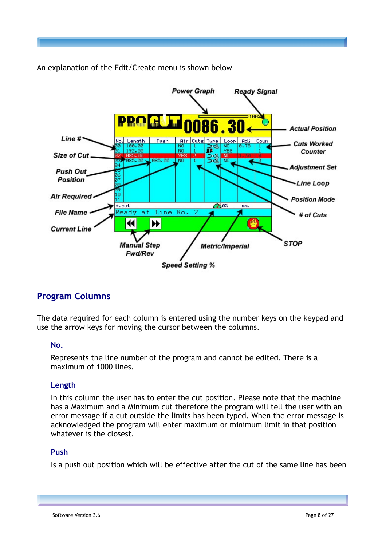

An explanation of the Edit/Create menu is shown below

### <span id="page-7-3"></span>**Program Columns**

The data required for each column is entered using the number keys on the keypad and use the arrow keys for moving the cursor between the columns.

#### <span id="page-7-2"></span>**No.**

Represents the line number of the program and cannot be edited. There is a maximum of 1000 lines.

#### <span id="page-7-1"></span>**Length**

In this column the user has to enter the cut position. Please note that the machine has a Maximum and a Minimum cut therefore the program will tell the user with an error message if a cut outside the limits has been typed. When the error message is acknowledged the program will enter maximum or minimum limit in that position whatever is the closest.

#### <span id="page-7-0"></span>**Push**

Is a push out position which will be effective after the cut of the same line has been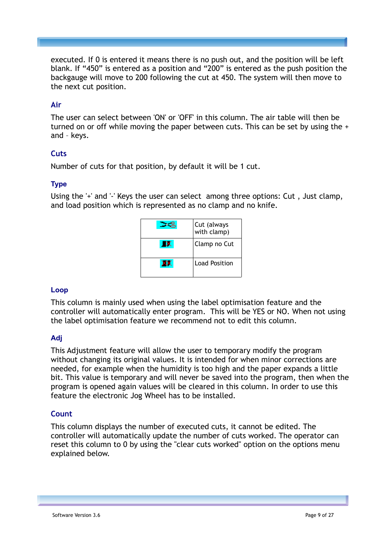executed. If 0 is entered it means there is no push out, and the position will be left blank. If "450" is entered as a position and "200" is entered as the push position the backgauge will move to 200 following the cut at 450. The system will then move to the next cut position.

#### <span id="page-8-5"></span>**Air**

The user can select between 'ON' or 'OFF' in this column. The air table will then be turned on or off while moving the paper between cuts. This can be set by using the + and – keys.

#### <span id="page-8-4"></span>**Cuts**

Number of cuts for that position, by default it will be 1 cut.

#### <span id="page-8-3"></span>**Type**

Using the '+' and '-' Keys the user can select among three options: Cut , Just clamp, and load position which is represented as no clamp and no knife.

|    | Cut (always<br>with clamp) |
|----|----------------------------|
| DQ | Clamp no Cut               |
|    | Load Position              |

#### <span id="page-8-2"></span>**Loop**

This column is mainly used when using the label optimisation feature and the controller will automatically enter program. This will be YES or NO. When not using the label optimisation feature we recommend not to edit this column.

#### <span id="page-8-1"></span>**Adj**

This Adjustment feature will allow the user to temporary modify the program without changing its original values. It is intended for when minor corrections are needed, for example when the humidity is too high and the paper expands a little bit. This value is temporary and will never be saved into the program, then when the program is opened again values will be cleared in this column. In order to use this feature the electronic Jog Wheel has to be installed.

#### <span id="page-8-0"></span>**Count**

This column displays the number of executed cuts, it cannot be edited. The controller will automatically update the number of cuts worked. The operator can reset this column to 0 by using the "clear cuts worked" option on the options menu explained below.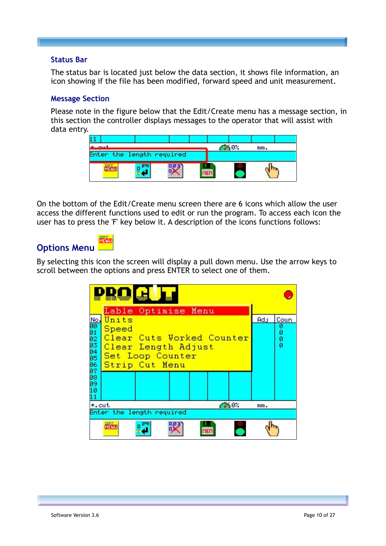#### <span id="page-9-2"></span>**Status Bar**

The status bar is located just below the data section, it shows file information, an icon showing if the file has been modified, forward speed and unit measurement.

#### <span id="page-9-1"></span>**Message Section**

Please note in the figure below that the Edit/Create menu has a message section, in this section the controller displays messages to the operator that will assist with data entry.

| بالمعتصب بنادر            |  | 780. | mm. |
|---------------------------|--|------|-----|
| Enter the length required |  |      |     |
| <b>HENU</b>               |  |      |     |
|                           |  |      |     |

On the bottom of the Edit/Create menu screen there are 6 icons which allow the user access the different functions used to edit or run the program. To access each icon the user has to press the 'F' key below it. A description of the icons functions follows:

<span id="page-9-0"></span>

By selecting this icon the screen will display a pull down menu. Use the arrow keys to scroll between the options and press ENTER to select one of them.

|           | <b>Antura</b> <mark>Antural S</mark> |                                  |  |        |     |        |
|-----------|--------------------------------------|----------------------------------|--|--------|-----|--------|
|           |                                      | Lable Optimise Menu              |  |        |     |        |
| No.       | Units                                |                                  |  |        | Adj | Coun   |
| 00<br>01  | Speed                                |                                  |  |        |     | ø<br>ø |
| 02        |                                      | <u>Clear Cuts Worked Counter</u> |  |        |     | ø      |
| 03        |                                      | Clear Length Adjust              |  |        |     | ø      |
| 04<br>05  |                                      | Set Loop Counter                 |  |        |     |        |
| 06        |                                      | Strip Cut Menu                   |  |        |     |        |
| 07<br>08  |                                      |                                  |  |        |     |        |
| 09        |                                      |                                  |  |        |     |        |
| 10<br>11  |                                      |                                  |  |        |     |        |
| $*$ , cut |                                      |                                  |  | CZ 07. | mm. |        |
|           |                                      | Enter the length required        |  |        |     |        |
|           | 嚴                                    | g                                |  |        |     |        |
|           |                                      |                                  |  |        |     |        |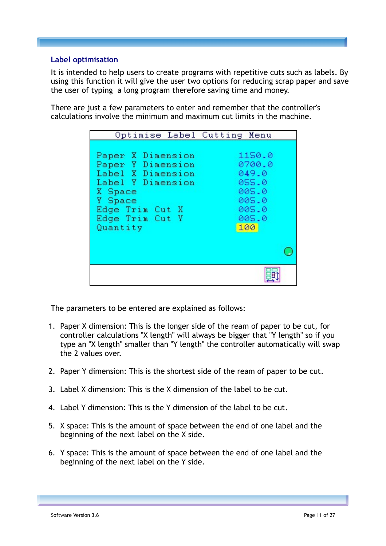#### <span id="page-10-0"></span>**Label optimisation**

It is intended to help users to create programs with repetitive cuts such as labels. By using this function it will give the user two options for reducing scrap paper and save the user of typing a long program therefore saving time and money.

There are just a few parameters to enter and remember that the controller's calculations involve the minimum and maximum cut limits in the machine.

| Optimise Label Cutting Menu                                                                                                                              |                                                                               |
|----------------------------------------------------------------------------------------------------------------------------------------------------------|-------------------------------------------------------------------------------|
| Paper X Dimension<br>Paper Y Dimension<br>Label X Dimension<br>Label Y Dimension<br>X Space<br>Y Space<br>Edge Trim Cut X<br>Edge Trim Cut Y<br>Quantity | 1150.0<br>0700.0<br>049.0<br>055.0<br>005.0<br>005.0<br>005.0<br>005.0<br>100 |
|                                                                                                                                                          |                                                                               |
|                                                                                                                                                          |                                                                               |

The parameters to be entered are explained as follows:

- 1. Paper X dimension: This is the longer side of the ream of paper to be cut, for controller calculations "X length" will always be bigger that "Y length" so if you type an "X length" smaller than "Y length" the controller automatically will swap the 2 values over.
- 2. Paper Y dimension: This is the shortest side of the ream of paper to be cut.
- 3. Label X dimension: This is the X dimension of the label to be cut.
- 4. Label Y dimension: This is the Y dimension of the label to be cut.
- 5. X space: This is the amount of space between the end of one label and the beginning of the next label on the X side.
- 6. Y space: This is the amount of space between the end of one label and the beginning of the next label on the Y side.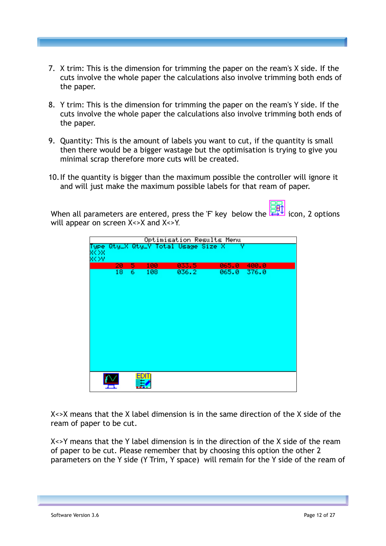- 7. X trim: This is the dimension for trimming the paper on the ream's X side. If the cuts involve the whole paper the calculations also involve trimming both ends of the paper.
- 8. Y trim: This is the dimension for trimming the paper on the ream's Y side. If the cuts involve the whole paper the calculations also involve trimming both ends of the paper.
- 9. Quantity: This is the amount of labels you want to cut, if the quantity is small then there would be a bigger wastage but the optimisation is trying to give you minimal scrap therefore more cuts will be created.
- 10.If the quantity is bigger than the maximum possible the controller will ignore it and will just make the maximum possible labels for that ream of paper.

When all parameters are entered, press the 'F' key below the  $\frac{1}{\sqrt{2}}$  icon, 2 options will appear on screen X<>X and X<>Y.

|                   | Optimisation Results Menu |    |     |                                |       |       |  |
|-------------------|---------------------------|----|-----|--------------------------------|-------|-------|--|
| Type              |                           |    |     | Qty_X Qty_Y Total Usage Size X | v     |       |  |
| <b>X&lt;&gt;X</b> |                           |    |     |                                |       |       |  |
| XK XY             |                           |    |     |                                |       |       |  |
|                   | 20                        | 5. | 100 | 033.5                          | 065.0 | 400.0 |  |
|                   | 18                        | 6  | 108 | 036.2                          | 065.0 | 376.0 |  |
|                   |                           |    |     |                                |       |       |  |
|                   |                           |    |     |                                |       |       |  |
|                   |                           |    |     |                                |       |       |  |
|                   |                           |    |     |                                |       |       |  |
|                   |                           |    |     |                                |       |       |  |
|                   |                           |    |     |                                |       |       |  |
|                   |                           |    |     |                                |       |       |  |
|                   |                           |    |     |                                |       |       |  |
|                   |                           |    |     |                                |       |       |  |
|                   |                           |    |     |                                |       |       |  |
|                   |                           |    |     |                                |       |       |  |
|                   |                           |    |     |                                |       |       |  |
|                   |                           |    |     |                                |       |       |  |
|                   |                           |    |     |                                |       |       |  |
|                   |                           |    |     |                                |       |       |  |
|                   |                           |    |     |                                |       |       |  |

X<>X means that the X label dimension is in the same direction of the X side of the ream of paper to be cut.

X<>Y means that the Y label dimension is in the direction of the X side of the ream of paper to be cut. Please remember that by choosing this option the other 2 parameters on the Y side (Y Trim, Y space) will remain for the Y side of the ream of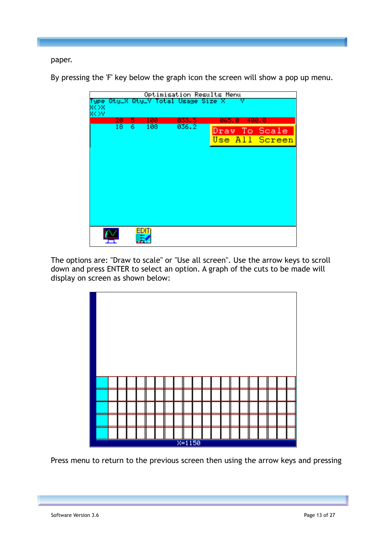paper.

By pressing the 'F' key below the graph icon the screen will show a pop up menu.



The options are: "Draw to scale" or "Use all screen". Use the arrow keys to scroll down and press ENTER to select an option. A graph of the cuts to be made will display on screen as shown below:



Press menu to return to the previous screen then using the arrow keys and pressing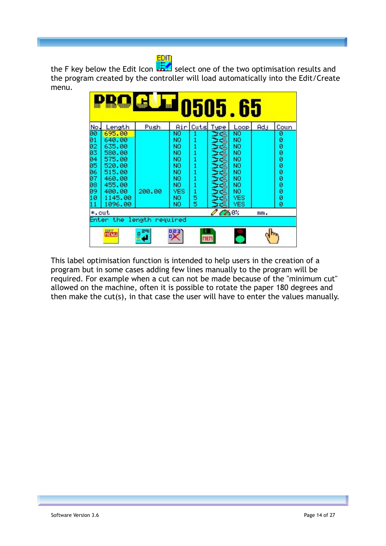the F key below the Edit Icon **EDIT** select one of the two optimisation results and the program created by the controller will load automatically into the Edit/Create menu.

|                                                                      | <b>IMAN WINDER</b>                                                                                                     | umu!                      | шı                                                                                 |             |             | 0505.65                                                                              |     |                                                          |
|----------------------------------------------------------------------|------------------------------------------------------------------------------------------------------------------------|---------------------------|------------------------------------------------------------------------------------|-------------|-------------|--------------------------------------------------------------------------------------|-----|----------------------------------------------------------|
| No                                                                   | Length                                                                                                                 | <b>Push</b>               | Air                                                                                | <b>Cuts</b> | <b>Type</b> | Loop.                                                                                | Adj | Coun                                                     |
| 00<br>01<br>02<br>03<br>04<br>05<br>06<br>07<br>08<br>09<br>10<br>11 | 695.00<br>640.00<br>635.00<br>580.00<br>575.00<br>520.00<br>515.00<br>460.00<br>455.00<br>400.00<br>1145.00<br>1096.00 | 200.00                    | <b>NO</b><br>NO<br>NO<br>NO<br>NO<br>NO.<br>NO.<br>NO.<br>NO.<br>YES.<br>NO.<br>NO | 5<br>5      |             | NO<br>NO<br>NO<br>NO<br>NO<br>NO<br>NO<br>NO<br>NO<br>NO<br><b>YES</b><br><b>YES</b> |     | ø<br>ø<br>ø<br>ø<br>ø<br>ø<br>ø<br>ø<br>ø<br>ø<br>ø<br>ø |
| $*.$ cut                                                             |                                                                                                                        |                           |                                                                                    |             | 782         |                                                                                      | mm. |                                                          |
|                                                                      |                                                                                                                        | Enter the length required |                                                                                    |             |             |                                                                                      |     |                                                          |
|                                                                      | Hitu                                                                                                                   | <b>Part</b>               | 焽                                                                                  |             |             |                                                                                      |     |                                                          |

This label optimisation function is intended to help users in the creation of a program but in some cases adding few lines manually to the program will be required. For example when a cut can not be made because of the "minimum cut" allowed on the machine, often it is possible to rotate the paper 180 degrees and then make the cut(s), in that case the user will have to enter the values manually.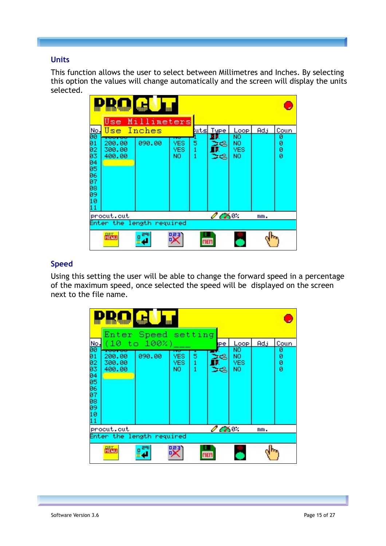#### <span id="page-14-1"></span>**Units**

This function allows the user to select between Millimetres and Inches. By selecting this option the values will change automatically and the screen will display the units selected.

| IIIII                                                                       | <b>ANTIN TANACTE</b>                     | umu<br>Use Millimeters    |                          |                    |                     |                                       |                 |                          |
|-----------------------------------------------------------------------------|------------------------------------------|---------------------------|--------------------------|--------------------|---------------------|---------------------------------------|-----------------|--------------------------|
| No.<br>00<br>01<br>02<br>03<br>04<br>05<br>06<br>07<br>08<br>09<br>10<br>11 | Use Inches<br>200.00<br>300.00<br>400.00 | 090.00                    | YES<br><b>YES</b><br>NO. | 5<br>$\frac{1}{1}$ | uts Type<br>ж<br>33 | Loop<br>NO<br>NO<br><b>YES</b><br>NO. | Ad <sub>3</sub> | Coun<br>0<br>ø<br>ø<br>ø |
|                                                                             | procut.cut                               | Enter the length required |                          |                    | 0.680.              |                                       | mm.             |                          |
|                                                                             | <b>Hido</b>                              | 29<br>g                   | 焽                        | MEM                |                     |                                       |                 |                          |

#### <span id="page-14-0"></span>**Speed**

Using this setting the user will be able to change the forward speed in a percentage of the maximum speed, once selected the speed will be displayed on the screen next to the file name.

|                                                                      | <b>TIMMILI</b>             | Enter Speed setting       |                          |             |         |                                |     |                  |
|----------------------------------------------------------------------|----------------------------|---------------------------|--------------------------|-------------|---------|--------------------------------|-----|------------------|
| No.                                                                  | (10                        | to $100\%$ )              |                          |             | ipe.    | Loop                           | Adj | Coun             |
| 00<br>01<br>02<br>03<br>04<br>05<br>06<br>07<br>08<br>09<br>10<br>11 | 200.00<br>300.00<br>400.00 | 090.00                    | YES.<br><b>YES</b><br>NO | 5<br>1<br>1 | e<br>32 | NO<br>NO.<br><b>YES</b><br>NO. |     | 0<br>ø<br>ø<br>ø |
|                                                                      | procut.cut                 |                           |                          |             | 0.680.  |                                | mm. |                  |
|                                                                      |                            | Enter the length required |                          |             |         |                                |     |                  |
|                                                                      | Hitu                       | 29<br>g                   | 焽                        | MEM         |         |                                |     |                  |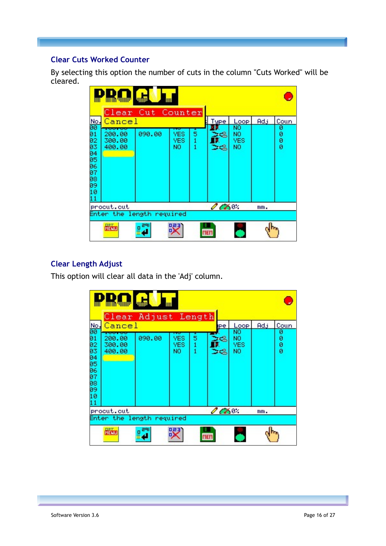#### <span id="page-15-1"></span>**Clear Cuts Worked Counter**

By selecting this option the number of cuts in the column "Cuts Worked" will be cleared.



#### <span id="page-15-0"></span>**Clear Length Adjust**

This option will clear all data in the 'Adj' column.

| ШT                                                                   | <b>ANTIN WINNIP</b>        | umu<br>шı<br>Clear Adjust Length |                         |             |          |                         |     |                  |
|----------------------------------------------------------------------|----------------------------|----------------------------------|-------------------------|-------------|----------|-------------------------|-----|------------------|
| No.                                                                  | Cancel                     |                                  |                         |             | ipe.     | Loop                    | Adj | Coun             |
| 00<br>Ø1<br>02<br>03<br>04<br>05<br>06<br>07<br>08<br>09<br>10<br>11 | 200.00<br>300.00<br>400.00 | 090.00                           | YES<br><b>YES</b><br>NO | 5<br>1<br>i | ×З<br>34 | NO<br>NO.<br>YES<br>NO. |     | ø<br>ø<br>ø<br>ø |
|                                                                      | procut.cut                 |                                  |                         |             | 0.68     |                         | mm. |                  |
|                                                                      |                            | Enter the length required        |                         |             |          |                         |     |                  |
|                                                                      | Hitu                       | 리민<br>g                          | 焽                       |             | mem      |                         |     |                  |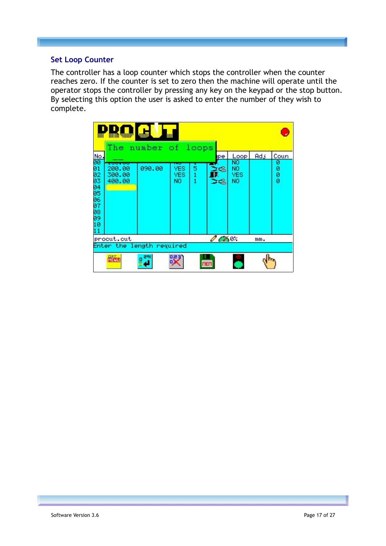#### <span id="page-16-0"></span>**Set Loop Counter**

The controller has a loop counter which stops the controller when the counter reaches zero. If the counter is set to zero then the machine will operate until the operator stops the controller by pressing any key on the keypad or the stop button. By selecting this option the user is asked to enter the number of they wish to complete.

|                                                                      | <b>THE MITH MINUTE</b><br>The.                      | <b>VIMIN</b><br>number of loops | mп                            |             |        |                              |     |                  |
|----------------------------------------------------------------------|-----------------------------------------------------|---------------------------------|-------------------------------|-------------|--------|------------------------------|-----|------------------|
| No.                                                                  |                                                     |                                 |                               |             | ipe    | Loop                         | Adj | Coun             |
| 00<br>Ø1<br>02<br>03<br>04<br>05<br>06<br>07<br>08<br>09<br>10<br>11 | <b>Service Andrew</b><br>200.00<br>300.00<br>400.00 | 090.00                          | --<br>YES<br><b>YES</b><br>NO | 5<br>1<br>1 | æ<br>œ | NO<br>NO<br><b>YES</b><br>NO |     | ø<br>ø<br>ø<br>ø |
|                                                                      | procut.cut                                          |                                 |                               |             | 0.680. |                              | mm. |                  |
|                                                                      | Enter the length required                           |                                 |                               |             |        |                              |     |                  |
|                                                                      | <b>Hidu</b>                                         | 291<br>H                        | 焽                             |             |        |                              |     |                  |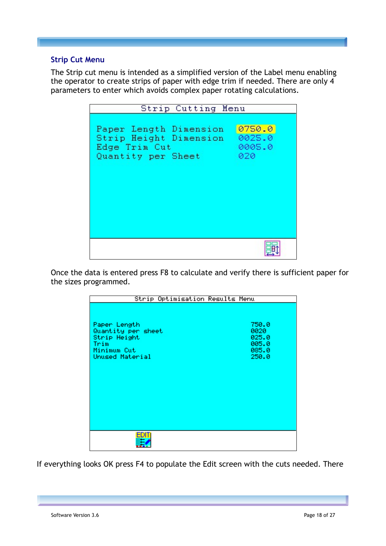#### <span id="page-17-0"></span>**Strip Cut Menu**

The Strip cut menu is intended as a simplified version of the Label menu enabling the operator to create strips of paper with edge trim if needed. There are only 4 parameters to enter which avoids complex paper rotating calculations.

| Strip Cutting Menu                                                                      |                                   |
|-----------------------------------------------------------------------------------------|-----------------------------------|
| Paper Length Dimension<br>Strip Height Dimension<br>Edge Trim Cut<br>Quantity per Sheet | 0750.0<br>0025.0<br>0005.0<br>020 |
|                                                                                         |                                   |

Once the data is entered press F8 to calculate and verify there is sufficient paper for the sizes programmed.

| Strip Optimisation Results Menu                                                              |                                                   |
|----------------------------------------------------------------------------------------------|---------------------------------------------------|
| Paper Length<br>Quantity per sheet<br>Strip Height<br>Trim<br>Minimum Cut<br>Unused Material | 750.0<br>0020<br>025.0<br>005.0<br>085.0<br>250.0 |
|                                                                                              |                                                   |

If everything looks OK press F4 to populate the Edit screen with the cuts needed. There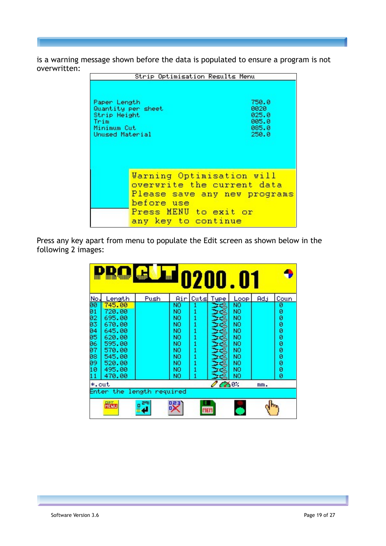is a warning message shown before the data is populated to ensure a program is not overwritten:

|                                                                                              | Strip Optimisation Results Menu              |                                                            |
|----------------------------------------------------------------------------------------------|----------------------------------------------|------------------------------------------------------------|
| Paper Length<br>Quantity per sheet<br>Strip Height<br>Trim<br>Minimum Cut<br>Unused Material |                                              | 750.0<br>0020<br>025.0<br>005.0<br>085.0<br>250.0          |
|                                                                                              | Warning Optimisation will<br>before use      | overwrite the current data<br>Please save any new programs |
|                                                                                              | Press MENU to exit or<br>any key to continue |                                                            |

Press any key apart from menu to populate the Edit screen as shown below in the following 2 images:

|                                                                      | <b>ANT<sup>S  </sup> ANTIA <sup>DI</sup>NAIP  </b>                                                                   | umu .   | <b>IIII</b>                                                           |          |             | $ 0200.01\rangle$                                                           |     |                                                          |  |  |
|----------------------------------------------------------------------|----------------------------------------------------------------------------------------------------------------------|---------|-----------------------------------------------------------------------|----------|-------------|-----------------------------------------------------------------------------|-----|----------------------------------------------------------|--|--|
| No                                                                   | Length                                                                                                               | Push    |                                                                       | Air Cuts | <b>Type</b> | Loop.                                                                       | Adj | Coun                                                     |  |  |
| 00<br>01<br>02<br>03<br>04<br>05<br>06<br>07<br>08<br>09<br>10<br>11 | 745.00<br>720.00<br>695.00<br>670.00<br>645.00<br>620.00<br>595.00<br>570.00<br>545.00<br>520.00<br>495.00<br>470.00 |         | NO<br>NO<br>NO<br>NO<br>NO<br>NO<br>NO<br>NO<br>NO.<br>NO<br>NO<br>NO |          |             | NO<br>NO.<br>NO<br>NO.<br>NO.<br>NO.<br>NO.<br>NO.<br>NO.<br>NO<br>NO<br>NO |     | ø<br>ø<br>ø<br>ø<br>ø<br>ø<br>ø<br>ø<br>ø<br>ø<br>ø<br>ø |  |  |
| $*.$ out                                                             |                                                                                                                      |         |                                                                       |          | $-60$       |                                                                             | mm. |                                                          |  |  |
|                                                                      | Enter the length required                                                                                            |         |                                                                       |          |             |                                                                             |     |                                                          |  |  |
|                                                                      | Hitu                                                                                                                 | 리민<br>g | 焽                                                                     | MEM      |             |                                                                             |     |                                                          |  |  |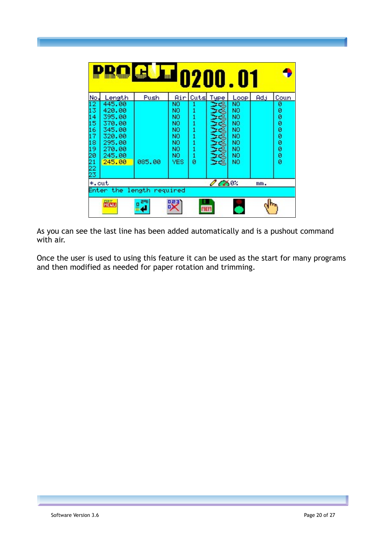|                                                                    | <b>ANT ANTINA VILLAGE</b>                                                                        | umu     | <b>IIII</b>                                                         |          |             | $^{1}$ 0200.01                                           |     |                                                |  |
|--------------------------------------------------------------------|--------------------------------------------------------------------------------------------------|---------|---------------------------------------------------------------------|----------|-------------|----------------------------------------------------------|-----|------------------------------------------------|--|
| No                                                                 | Length                                                                                           | Push.   |                                                                     | Air Cuts | <b>Type</b> | Loop.                                                    | Adj | Coun                                           |  |
| 2<br>13<br>14<br>15<br>16<br>7<br>18<br>19<br>20<br>21<br>22<br>23 | 445.00<br>420.00<br>395.00<br>370.00<br>345.00<br>320.00<br>295.00<br>270.00<br>245.00<br>245.00 | 085.00  | NO<br>NO<br>NO<br>NO<br>NO<br>NO.<br>NO.<br>NO<br>NO.<br><b>YES</b> | ø        |             | NO<br>NO<br>NO<br>NO<br>NO<br>NO<br>NO<br>NO<br>NO<br>NO |     | ø<br>ø<br>ø<br>ø<br>ø<br>ø<br>ø<br>ø<br>ø<br>ø |  |
| $*.$ out                                                           |                                                                                                  |         |                                                                     |          | 0.68        |                                                          | mm. |                                                |  |
|                                                                    | Enter the length required                                                                        |         |                                                                     |          |             |                                                          |     |                                                |  |
|                                                                    | Hillo                                                                                            | 29<br>g | 吧                                                                   | man      |             |                                                          |     |                                                |  |

As you can see the last line has been added automatically and is a pushout command with air.

Once the user is used to using this feature it can be used as the start for many programs and then modified as needed for paper rotation and trimming.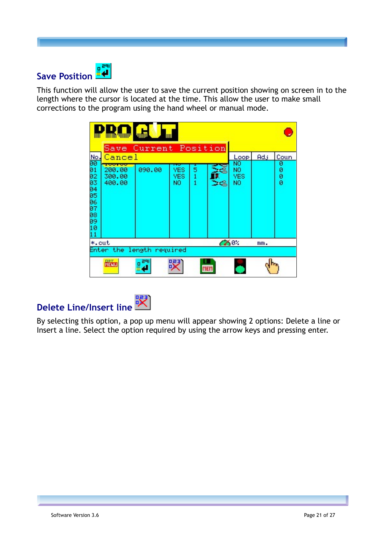# <span id="page-20-1"></span>**Save Position**

This function will allow the user to save the current position showing on screen in to the length where the cursor is located at the time. This allow the user to make small corrections to the program using the hand wheel or manual mode.

|                                                                      | <b>ANT ANTIDA VILADELE</b> | umu<br>Save Current Position | шı               |                    |    |                               |                 |                  |
|----------------------------------------------------------------------|----------------------------|------------------------------|------------------|--------------------|----|-------------------------------|-----------------|------------------|
| No.                                                                  | Cancel                     |                              |                  |                    |    |                               | Ad <sub>3</sub> | Coun             |
| 00<br>Ø1<br>02<br>03<br>04<br>05<br>06<br>07<br>08<br>09<br>10<br>-1 | 200.00<br>300.00<br>400.00 | 090.00                       | YES<br>YES<br>NO | 5<br>$\frac{1}{1}$ | 32 | NO<br>NO<br><b>YES</b><br>NO. |                 | ø<br>ø<br>ø<br>ø |
| *.cut                                                                |                            |                              |                  |                    |    | 6604                          | mm.             |                  |
|                                                                      | Enter the length required  |                              |                  |                    |    |                               |                 |                  |
|                                                                      | Hitu                       | <b>Page</b>                  | 焽                |                    |    |                               |                 |                  |

<span id="page-20-0"></span>

By selecting this option, a pop up menu will appear showing 2 options: Delete a line or Insert a line. Select the option required by using the arrow keys and pressing enter.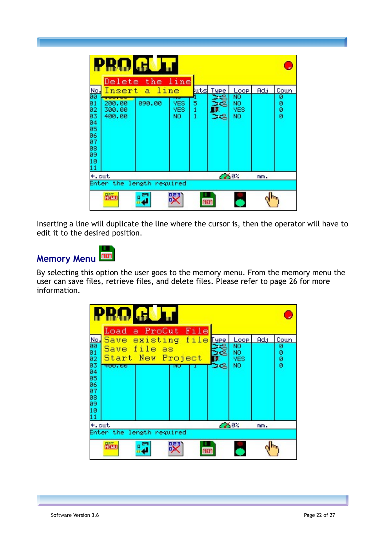| ШT                                                                          | <b>MITTIN WITHIN</b><br>Delete the line     | <b>VIMIN</b>     | IIII             |                    |                   |                                |            |                     |
|-----------------------------------------------------------------------------|---------------------------------------------|------------------|------------------|--------------------|-------------------|--------------------------------|------------|---------------------|
| No.<br>00<br>01<br>02<br>03<br>04<br>05<br>06<br>07<br>08<br>09<br>10<br>11 | Insert<br>---<br>200.00<br>300.00<br>400.00 | a line<br>090.00 | YES<br>YES<br>NO | uts<br>5<br>1<br>1 | <b>Tupe</b><br>34 | Loop<br>NO<br>NO<br>YES<br>NO. | <b>Adj</b> | Coun<br>ø<br>8<br>ø |
| 6604<br>$*.$ cut<br>mm.<br>Enter the length required                        |                                             |                  |                  |                    |                   |                                |            |                     |
|                                                                             | Hitu                                        | 291<br>g         | 明月               |                    | MEM               |                                |            |                     |

Inserting a line will duplicate the line where the cursor is, then the operator will have to edit it to the desired position.

## <span id="page-21-0"></span>**Memory Menu**

By selecting this option the user goes to the memory menu. From the memory menu the user can save files, retrieve files, and delete files. Please refer to page [26](#page-25-3) for more information.

|                                                                             | <b>THE DESIGNATION</b><br>Load a ProCut File                           | <b>umu</b> |    |  |                                         |                 |                     |
|-----------------------------------------------------------------------------|------------------------------------------------------------------------|------------|----|--|-----------------------------------------|-----------------|---------------------|
| No.<br>00<br>01<br>02<br>03<br>04<br>05<br>06<br>07<br>08<br>09<br>10<br>11 | Save existing file Type<br>Save file as<br>Start New Project<br>400.00 |            | ĸи |  | Loop.<br>NO<br>NO.<br><b>YES</b><br>NO. | Ad <sub>3</sub> | Coun<br>ø<br>0<br>ø |
| *.cut                                                                       | Enter the length required                                              |            |    |  | 280.                                    | mm.             |                     |
|                                                                             |                                                                        |            |    |  |                                         |                 |                     |
|                                                                             | 嚴                                                                      | <b>REA</b> | 焽  |  |                                         |                 |                     |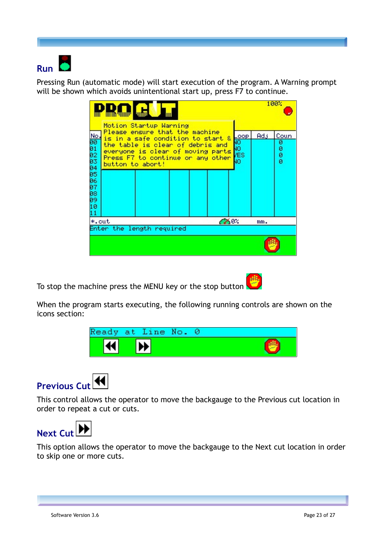<span id="page-22-2"></span>

Pressing Run (automatic mode) will start execution of the program. A Warning prompt will be shown which avoids unintentional start up, press F7 to continue.

|                                        | <u>TIITTIIN YIITIITTI</u> | <u> Motion Startup Warning</u>                                                                                                                                                                              |                              |     |                          |        |     | 100% |  |
|----------------------------------------|---------------------------|-------------------------------------------------------------------------------------------------------------------------------------------------------------------------------------------------------------|------------------------------|-----|--------------------------|--------|-----|------|--|
| No<br>001023<br>04                     | button to abort!          | <u>Please ensure that the machine</u><br><u>is in a safe condition to start &amp; </u><br>the table is clear of debris and<br>everyone is clear of moving parts<br><u>Press F7 to continue or any other</u> | .oop<br><b>lg</b><br>G<br>NО | Ada | Coun<br>ø<br>ø<br>ø<br>ø |        |     |      |  |
| 05<br>06<br>07<br>08<br>09<br>10<br>11 |                           |                                                                                                                                                                                                             |                              |     |                          |        |     |      |  |
| $*.$ cut                               |                           |                                                                                                                                                                                                             |                              |     |                          | CZ 07. | mm. |      |  |
|                                        | Enter the length required |                                                                                                                                                                                                             |                              |     |                          |        |     |      |  |
|                                        |                           |                                                                                                                                                                                                             |                              |     |                          |        |     |      |  |

To stop the machine press the MENU key or the stop button

When the program starts executing, the following running controls are shown on the icons section:



## <span id="page-22-1"></span>**Previous Cut**

This control allows the operator to move the backgauge to the Previous cut location in order to repeat a cut or cuts.

<span id="page-22-0"></span>

This option allows the operator to move the backgauge to the Next cut location in order to skip one or more cuts.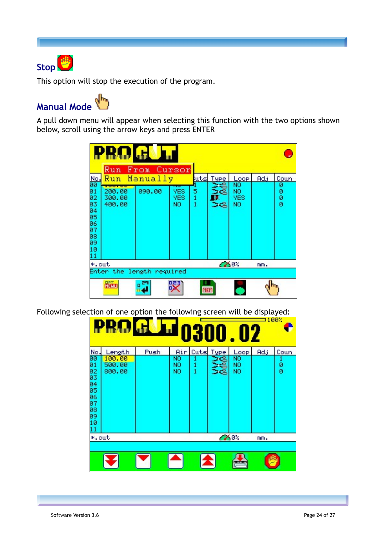<span id="page-23-1"></span>

This option will stop the execution of the program.

<span id="page-23-0"></span>**Manual Mode** 



A pull down menu will appear when selecting this function with the two options shown below, scroll using the arrow keys and press ENTER

|                                                                      | <b>ANTIN TANALOGIE</b><br>Run- | umu<br>From Cursor |                         |             |             |                       |                 |                  |  |
|----------------------------------------------------------------------|--------------------------------|--------------------|-------------------------|-------------|-------------|-----------------------|-----------------|------------------|--|
| No.                                                                  |                                | Run Manually       |                         | luts        | <u>Type</u> | Loop                  | Ad <sub>3</sub> | Coun             |  |
| 90<br>Ø1<br>02<br>03<br>04<br>05<br>06<br>07<br>08<br>09<br>10<br>11 | 200.00<br>300.00<br>400.00     | 090.00             | YES<br><b>YES</b><br>NO | 5<br>1<br>1 | œ           | NO<br>NO<br>YES<br>NO |                 | ø<br>ø<br>ø<br>ø |  |
| $*$ , cut                                                            |                                |                    |                         |             |             | 6604                  | mm.             |                  |  |
|                                                                      | Enter the length required      |                    |                         |             |             |                       |                 |                  |  |
|                                                                      | Hillo                          | <b>PERIT</b>       | 焽                       |             |             |                       |                 |                  |  |

Following selection of one option the following screen will be displayed:

|                      | <b>AND AN AN AN AN AN AN AN AN</b>   | umu  |                |               |             | <b>JO 300.02</b>       |                 | 100 <sub>7</sub> |
|----------------------|--------------------------------------|------|----------------|---------------|-------------|------------------------|-----------------|------------------|
| No<br>00123456789011 | Length<br>100.00<br>500.00<br>800.00 | Push | NO<br>NO<br>NO | Air Cuts<br>1 | <b>Type</b> | Loop<br>NO<br>NO<br>NO | Ad <sub>3</sub> | Coun<br>ø<br>ø   |
| $*.$ cut             |                                      |      |                |               |             | 6604                   | mm.             |                  |
|                      |                                      |      |                |               |             |                        |                 |                  |
|                      |                                      |      |                |               |             | mmmm                   |                 |                  |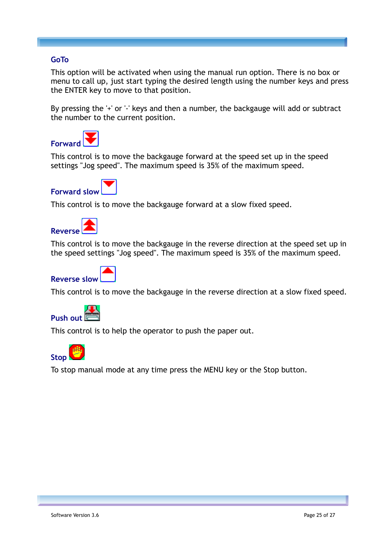#### <span id="page-24-6"></span>**GoTo**

This option will be activated when using the manual run option. There is no box or menu to call up, just start typing the desired length using the number keys and press the ENTER key to move to that position.

By pressing the '+' or '-' keys and then a number, the backgauge will add or subtract the number to the current position.

<span id="page-24-5"></span>

This control is to move the backgauge forward at the speed set up in the speed settings "Jog speed". The maximum speed is 35% of the maximum speed.

<span id="page-24-4"></span>

This control is to move the backgauge forward at a slow fixed speed.

<span id="page-24-3"></span>

This control is to move the backgauge in the reverse direction at the speed set up in the speed settings "Jog speed". The maximum speed is 35% of the maximum speed.

<span id="page-24-2"></span>

This control is to move the backgauge in the reverse direction at a slow fixed speed.

<span id="page-24-1"></span>

This control is to help the operator to push the paper out.

<span id="page-24-0"></span>

To stop manual mode at any time press the MENU key or the Stop button.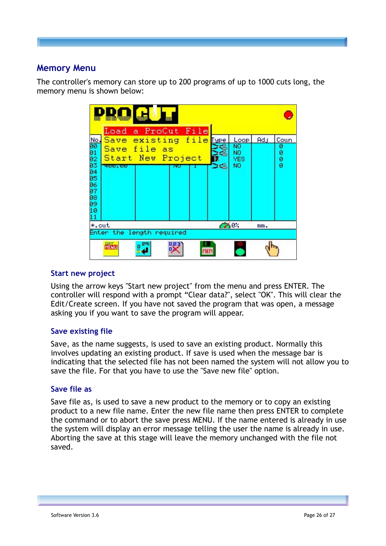#### <span id="page-25-3"></span>**Memory Menu**

The controller's memory can store up to 200 programs of up to 1000 cuts long, the memory menu is shown below:

|                                                                                                                                     | <b><u> Allin Alling</u></b><br>Load a ProCut File                      | umu        |   |  |  |                                        |                 |                     |
|-------------------------------------------------------------------------------------------------------------------------------------|------------------------------------------------------------------------|------------|---|--|--|----------------------------------------|-----------------|---------------------|
| $\begin{array}{c}\n\text{No.} \\ \hline\n\text{00} \\ \text{01}\n\end{array}$<br>02<br>03<br>04<br>05<br>06<br>07<br>08<br>09<br>10 | Save existing file Type<br>Save file as<br>Start New Project<br>488.00 |            |   |  |  | Loop.<br>NO<br>NO<br><b>YES</b><br>NO. | Ad <sub>3</sub> | Coun<br>ø<br>0<br>ø |
| *.cut                                                                                                                               |                                                                        |            |   |  |  | 6601                                   | mm.             |                     |
|                                                                                                                                     | Enter the length required                                              |            |   |  |  |                                        |                 |                     |
|                                                                                                                                     | 嚴加                                                                     | <b>REA</b> | 焽 |  |  |                                        |                 |                     |

#### <span id="page-25-2"></span>**Start new project**

Using the arrow keys "Start new project" from the menu and press ENTER. The controller will respond with a prompt "Clear data?", select "OK". This will clear the Edit/Create screen. If you have not saved the program that was open, a message asking you if you want to save the program will appear.

#### <span id="page-25-1"></span>**Save existing file**

Save, as the name suggests, is used to save an existing product. Normally this involves updating an existing product. If save is used when the message bar is indicating that the selected file has not been named the system will not allow you to save the file. For that you have to use the "Save new file" option.

#### <span id="page-25-0"></span>**Save file as**

Save file as, is used to save a new product to the memory or to copy an existing product to a new file name. Enter the new file name then press ENTER to complete the command or to abort the save press MENU. If the name entered is already in use the system will display an error message telling the user the name is already in use. Aborting the save at this stage will leave the memory unchanged with the file not saved.